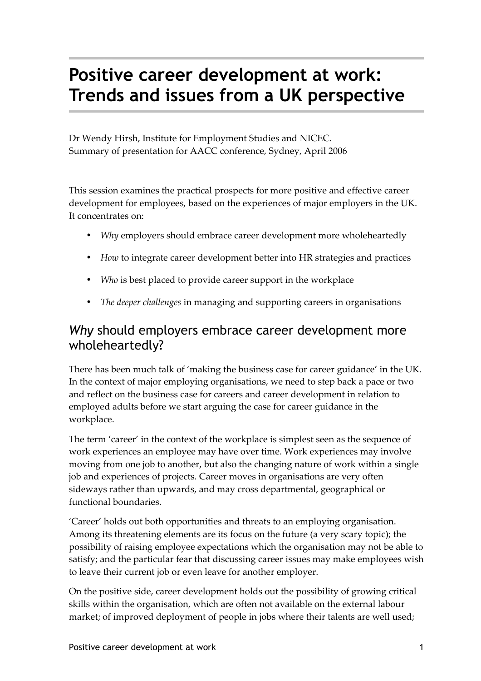# **Positive career development at work: Trends and issues from a UK perspective**

Dr Wendy Hirsh, Institute for Employment Studies and NICEC. Summary of presentation for AACC conference, Sydney, April 2006

This session examines the practical prospects for more positive and effective career development for employees, based on the experiences of major employers in the UK. It concentrates on:

- *Why* employers should embrace career development more wholeheartedly
- *How* to integrate career development better into HR strategies and practices
- *Who* is best placed to provide career support in the workplace
- *The deeper challenges* in managing and supporting careers in organisations

## *Why* should employers embrace career development more wholeheartedly?

There has been much talk of 'making the business case for career guidance' in the UK. In the context of major employing organisations, we need to step back a pace or two and reflect on the business case for careers and career development in relation to employed adults before we start arguing the case for career guidance in the workplace.

The term 'career' in the context of the workplace is simplest seen as the sequence of work experiences an employee may have over time. Work experiences may involve moving from one job to another, but also the changing nature of work within a single job and experiences of projects. Career moves in organisations are very often sideways rather than upwards, and may cross departmental, geographical or functional boundaries.

'Career' holds out both opportunities and threats to an employing organisation. Among its threatening elements are its focus on the future (a very scary topic); the possibility of raising employee expectations which the organisation may not be able to satisfy; and the particular fear that discussing career issues may make employees wish to leave their current job or even leave for another employer.

On the positive side, career development holds out the possibility of growing critical skills within the organisation, which are often not available on the external labour market; of improved deployment of people in jobs where their talents are well used;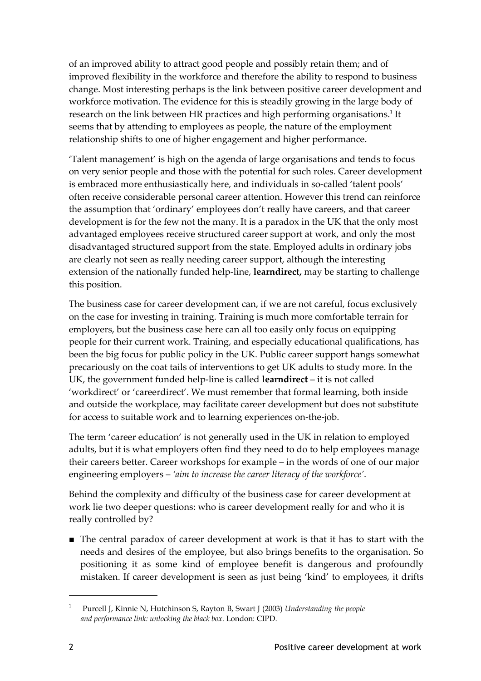of an improved ability to attract good people and possibly retain them; and of improved flexibility in the workforce and therefore the ability to respond to business change. Most interesting perhaps is the link between positive career development and workforce motivation. The evidence for this is steadily growing in the large body of research on the link between HR practices and high performing organisations.<sup>[1](#page-1-0)</sup> It seems that by attending to employees as people, the nature of the employment relationship shifts to one of higher engagement and higher performance.

'Talent management' is high on the agenda of large organisations and tends to focus on very senior people and those with the potential for such roles. Career development is embraced more enthusiastically here, and individuals in so-called 'talent pools' often receive considerable personal career attention. However this trend can reinforce the assumption that 'ordinary' employees don't really have careers, and that career development is for the few not the many. It is a paradox in the UK that the only most advantaged employees receive structured career support at work, and only the most disadvantaged structured support from the state. Employed adults in ordinary jobs are clearly not seen as really needing career support, although the interesting extension of the nationally funded help-line, **learndirect,** may be starting to challenge this position.

The business case for career development can, if we are not careful, focus exclusively on the case for investing in training. Training is much more comfortable terrain for employers, but the business case here can all too easily only focus on equipping people for their current work. Training, and especially educational qualifications, has been the big focus for public policy in the UK. Public career support hangs somewhat precariously on the coat tails of interventions to get UK adults to study more. In the UK, the government funded help-line is called **learndirect** – it is not called 'workdirect' or 'careerdirect'. We must remember that formal learning, both inside and outside the workplace, may facilitate career development but does not substitute for access to suitable work and to learning experiences on-the-job.

The term 'career education' is not generally used in the UK in relation to employed adults, but it is what employers often find they need to do to help employees manage their careers better. Career workshops for example – in the words of one of our major engineering employers – *'aim to increase the career literacy of the workforce'*.

Behind the complexity and difficulty of the business case for career development at work lie two deeper questions: who is career development really for and who it is really controlled by?

■ The central paradox of career development at work is that it has to start with the needs and desires of the employee, but also brings benefits to the organisation. So positioning it as some kind of employee benefit is dangerous and profoundly mistaken. If career development is seen as just being 'kind' to employees, it drifts

<span id="page-1-0"></span><sup>1</sup> Purcell J, Kinnie N, Hutchinson S, Rayton B, Swart J (2003) *Understanding the people and performance link: unlocking the black box*. London: CIPD.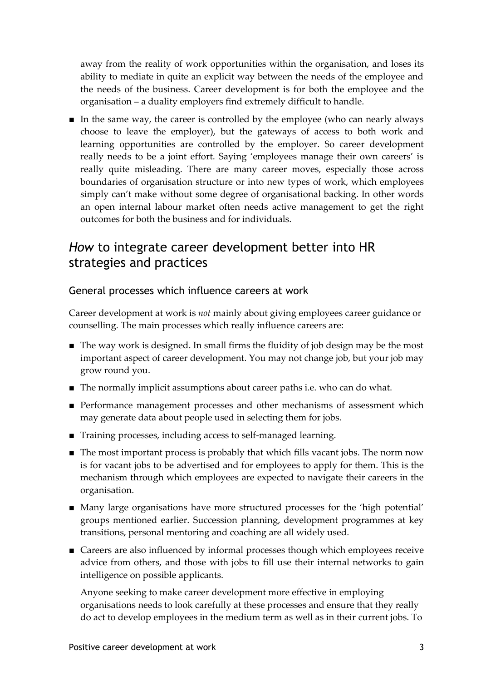away from the reality of work opportunities within the organisation, and loses its ability to mediate in quite an explicit way between the needs of the employee and the needs of the business. Career development is for both the employee and the organisation – a duality employers find extremely difficult to handle.

■ In the same way, the career is controlled by the employee (who can nearly always choose to leave the employer), but the gateways of access to both work and learning opportunities are controlled by the employer. So career development really needs to be a joint effort. Saying 'employees manage their own careers' is really quite misleading. There are many career moves, especially those across boundaries of organisation structure or into new types of work, which employees simply can't make without some degree of organisational backing. In other words an open internal labour market often needs active management to get the right outcomes for both the business and for individuals.

## *How* to integrate career development better into HR strategies and practices

#### General processes which influence careers at work

Career development at work is *not* mainly about giving employees career guidance or counselling. The main processes which really influence careers are:

- The way work is designed. In small firms the fluidity of job design may be the most important aspect of career development. You may not change job, but your job may grow round you.
- The normally implicit assumptions about career paths i.e. who can do what.
- Performance management processes and other mechanisms of assessment which may generate data about people used in selecting them for jobs.
- Training processes, including access to self-managed learning.
- The most important process is probably that which fills vacant jobs. The norm now is for vacant jobs to be advertised and for employees to apply for them. This is the mechanism through which employees are expected to navigate their careers in the organisation.
- Many large organisations have more structured processes for the 'high potential' groups mentioned earlier. Succession planning, development programmes at key transitions, personal mentoring and coaching are all widely used.
- Careers are also influenced by informal processes though which employees receive advice from others, and those with jobs to fill use their internal networks to gain intelligence on possible applicants.

Anyone seeking to make career development more effective in employing organisations needs to look carefully at these processes and ensure that they really do act to develop employees in the medium term as well as in their current jobs. To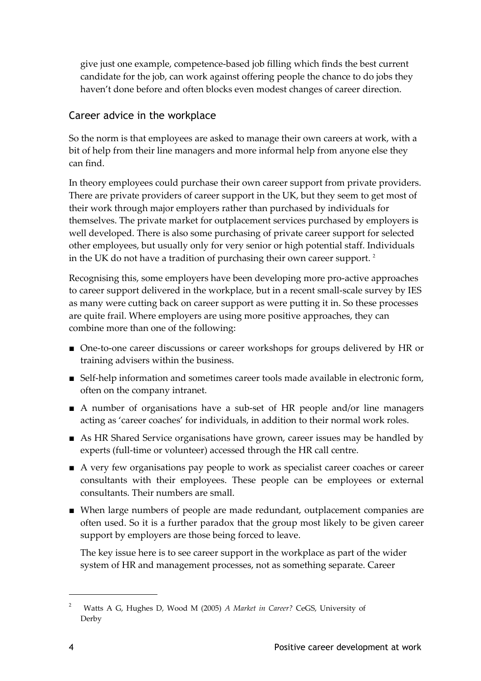give just one example, competence-based job filling which finds the best current candidate for the job, can work against offering people the chance to do jobs they haven't done before and often blocks even modest changes of career direction.

#### Career advice in the workplace

So the norm is that employees are asked to manage their own careers at work, with a bit of help from their line managers and more informal help from anyone else they can find.

In theory employees could purchase their own career support from private providers. There are private providers of career support in the UK, but they seem to get most of their work through major employers rather than purchased by individuals for themselves. The private market for outplacement services purchased by employers is well developed. There is also some purchasing of private career support for selected other employees, but usually only for very senior or high potential staff. Individuals in the UK do not have a tradition of purchasing their own career support.<sup>[2](#page-3-0)</sup>

Recognising this, some employers have been developing more pro-active approaches to career support delivered in the workplace, but in a recent small-scale survey by IES as many were cutting back on career support as were putting it in. So these processes are quite frail. Where employers are using more positive approaches, they can combine more than one of the following:

- One-to-one career discussions or career workshops for groups delivered by HR or training advisers within the business.
- Self-help information and sometimes career tools made available in electronic form, often on the company intranet.
- A number of organisations have a sub-set of HR people and/or line managers acting as 'career coaches' for individuals, in addition to their normal work roles.
- As HR Shared Service organisations have grown, career issues may be handled by experts (full-time or volunteer) accessed through the HR call centre.
- A very few organisations pay people to work as specialist career coaches or career consultants with their employees. These people can be employees or external consultants. Their numbers are small.
- When large numbers of people are made redundant, outplacement companies are often used. So it is a further paradox that the group most likely to be given career support by employers are those being forced to leave.

The key issue here is to see career support in the workplace as part of the wider system of HR and management processes, not as something separate. Career

<span id="page-3-0"></span><sup>2</sup> Watts A G, Hughes D, Wood M (2005) *A Market in Career?* CeGS, University of Derby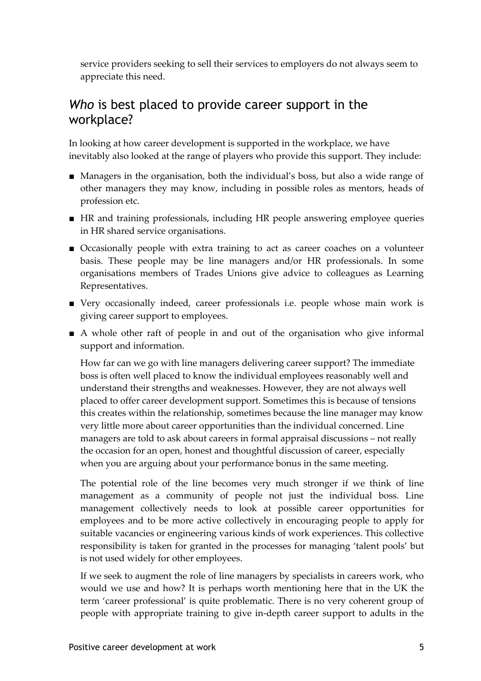service providers seeking to sell their services to employers do not always seem to appreciate this need.

## *Who* is best placed to provide career support in the workplace?

In looking at how career development is supported in the workplace, we have inevitably also looked at the range of players who provide this support. They include:

- Managers in the organisation, both the individual's boss, but also a wide range of other managers they may know, including in possible roles as mentors, heads of profession etc.
- HR and training professionals, including HR people answering employee queries in HR shared service organisations.
- Occasionally people with extra training to act as career coaches on a volunteer basis. These people may be line managers and/or HR professionals. In some organisations members of Trades Unions give advice to colleagues as Learning Representatives.
- Very occasionally indeed, career professionals i.e. people whose main work is giving career support to employees.
- A whole other raft of people in and out of the organisation who give informal support and information.

How far can we go with line managers delivering career support? The immediate boss is often well placed to know the individual employees reasonably well and understand their strengths and weaknesses. However, they are not always well placed to offer career development support. Sometimes this is because of tensions this creates within the relationship, sometimes because the line manager may know very little more about career opportunities than the individual concerned. Line managers are told to ask about careers in formal appraisal discussions – not really the occasion for an open, honest and thoughtful discussion of career, especially when you are arguing about your performance bonus in the same meeting.

The potential role of the line becomes very much stronger if we think of line management as a community of people not just the individual boss. Line management collectively needs to look at possible career opportunities for employees and to be more active collectively in encouraging people to apply for suitable vacancies or engineering various kinds of work experiences. This collective responsibility is taken for granted in the processes for managing 'talent pools' but is not used widely for other employees.

If we seek to augment the role of line managers by specialists in careers work, who would we use and how? It is perhaps worth mentioning here that in the UK the term 'career professional' is quite problematic. There is no very coherent group of people with appropriate training to give in-depth career support to adults in the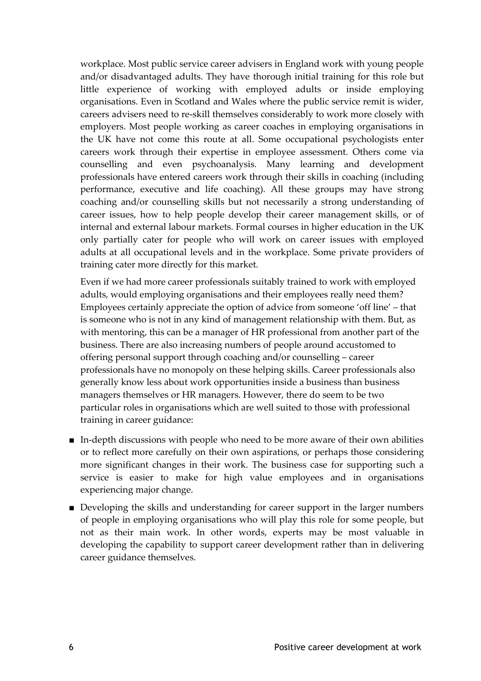workplace. Most public service career advisers in England work with young people and/or disadvantaged adults. They have thorough initial training for this role but little experience of working with employed adults or inside employing organisations. Even in Scotland and Wales where the public service remit is wider, careers advisers need to re-skill themselves considerably to work more closely with employers. Most people working as career coaches in employing organisations in the UK have not come this route at all. Some occupational psychologists enter careers work through their expertise in employee assessment. Others come via counselling and even psychoanalysis. Many learning and development professionals have entered careers work through their skills in coaching (including performance, executive and life coaching). All these groups may have strong coaching and/or counselling skills but not necessarily a strong understanding of career issues, how to help people develop their career management skills, or of internal and external labour markets. Formal courses in higher education in the UK only partially cater for people who will work on career issues with employed adults at all occupational levels and in the workplace. Some private providers of training cater more directly for this market.

Even if we had more career professionals suitably trained to work with employed adults, would employing organisations and their employees really need them? Employees certainly appreciate the option of advice from someone 'off line' – that is someone who is not in any kind of management relationship with them. But, as with mentoring, this can be a manager of HR professional from another part of the business. There are also increasing numbers of people around accustomed to offering personal support through coaching and/or counselling – career professionals have no monopoly on these helping skills. Career professionals also generally know less about work opportunities inside a business than business managers themselves or HR managers. However, there do seem to be two particular roles in organisations which are well suited to those with professional training in career guidance:

- In-depth discussions with people who need to be more aware of their own abilities or to reflect more carefully on their own aspirations, or perhaps those considering more significant changes in their work. The business case for supporting such a service is easier to make for high value employees and in organisations experiencing major change.
- Developing the skills and understanding for career support in the larger numbers of people in employing organisations who will play this role for some people, but not as their main work. In other words, experts may be most valuable in developing the capability to support career development rather than in delivering career guidance themselves.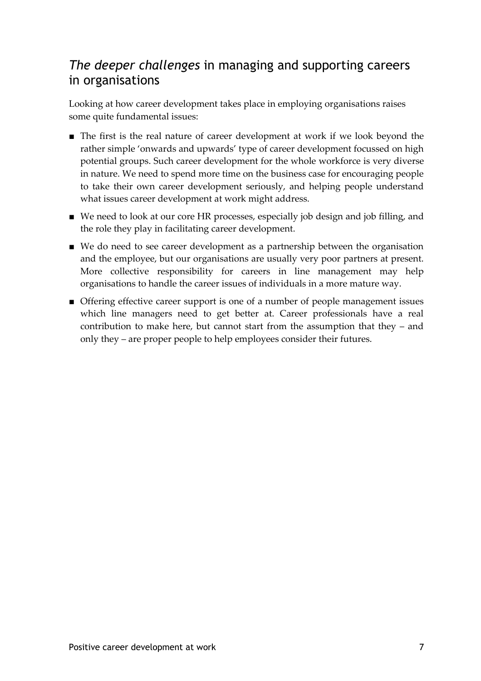## *The deeper challenges* in managing and supporting careers in organisations

Looking at how career development takes place in employing organisations raises some quite fundamental issues:

- The first is the real nature of career development at work if we look beyond the rather simple 'onwards and upwards' type of career development focussed on high potential groups. Such career development for the whole workforce is very diverse in nature. We need to spend more time on the business case for encouraging people to take their own career development seriously, and helping people understand what issues career development at work might address.
- We need to look at our core HR processes, especially job design and job filling, and the role they play in facilitating career development.
- We do need to see career development as a partnership between the organisation and the employee, but our organisations are usually very poor partners at present. More collective responsibility for careers in line management may help organisations to handle the career issues of individuals in a more mature way.
- Offering effective career support is one of a number of people management issues which line managers need to get better at. Career professionals have a real contribution to make here, but cannot start from the assumption that they – and only they – are proper people to help employees consider their futures.